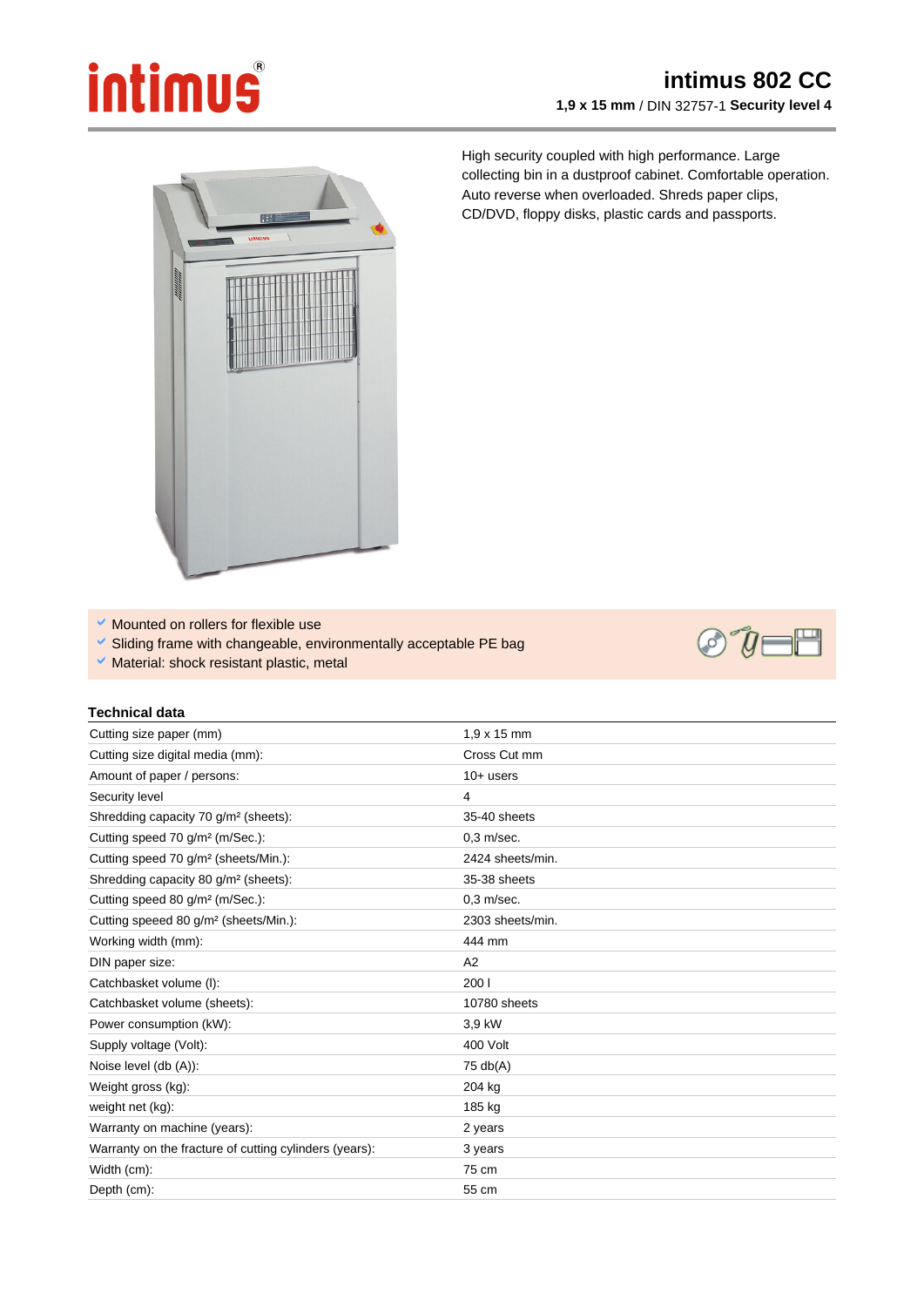## **intimus**

## **intimus 802 CC 1,9 x 15 mm** / DIN 32757-1 **Security level 4**



High security coupled with high performance. Large collecting bin in a dustproof cabinet. Comfortable operation. Auto reverse when overloaded. Shreds paper clips, CD/DVD, floppy disks, plastic cards and passports.

 $\checkmark$  Mounted on rollers for flexible use

**Technical data** 

- Sliding frame with changeable, environmentally acceptable PE bag
- $\vee$  Material: shock resistant plastic, metal

## $\omega$

| Cutting size paper (mm)                           | $1.9 \times 15$ mm |
|---------------------------------------------------|--------------------|
| Cutting size digital media (mm):                  | Cross Cut mm       |
| Amount of paper / persons:                        | $10+$ users        |
| Security level                                    | 4                  |
| Shredding capacity 70 g/m <sup>2</sup> (sheets):  | $35-40$ sheets     |
| Cutting speed 70 g/m <sup>2</sup> (m/Sec.):       | $0.3$ m/sec.       |
| Cutting speed 70 g/m <sup>2</sup> (sheets/Min.):  | 2424 sheets/m      |
| Shredding capacity 80 g/m <sup>2</sup> (sheets):  | 35-38 sheets       |
| Cutting speed 80 g/m <sup>2</sup> (m/Sec.):       | $0.3$ m/sec.       |
| Cutting speeed 80 g/m <sup>2</sup> (sheets/Min.): | 2303 sheets/m      |
| Working width (mm):                               | 444 mm             |

| Shredding capacity 70 g/m <sup>2</sup> (sheets):       | 35-40 sheets     |
|--------------------------------------------------------|------------------|
| Cutting speed 70 g/m <sup>2</sup> (m/Sec.):            | $0.3$ m/sec.     |
| Cutting speed 70 g/m <sup>2</sup> (sheets/Min.):       | 2424 sheets/min. |
| Shredding capacity 80 g/m <sup>2</sup> (sheets):       | 35-38 sheets     |
| Cutting speed 80 g/m <sup>2</sup> (m/Sec.):            | $0,3$ m/sec.     |
| Cutting speeed 80 g/m <sup>2</sup> (sheets/Min.):      | 2303 sheets/min. |
| Working width (mm):                                    | 444 mm           |
| DIN paper size:                                        | A2               |
| Catchbasket volume (I):                                | 200 l            |
| Catchbasket volume (sheets):                           | 10780 sheets     |
| Power consumption (kW):                                | 3,9 kW           |
| Supply voltage (Volt):                                 | 400 Volt         |
| Noise level (db (A)):                                  | 75 db(A)         |
| Weight gross (kg):                                     | 204 kg           |
| weight net (kg):                                       | 185 kg           |
| Warranty on machine (years):                           | 2 years          |
| Warranty on the fracture of cutting cylinders (years): | 3 years          |
| Width (cm):                                            | 75 cm            |
| Depth (cm):                                            | 55 cm            |
|                                                        |                  |